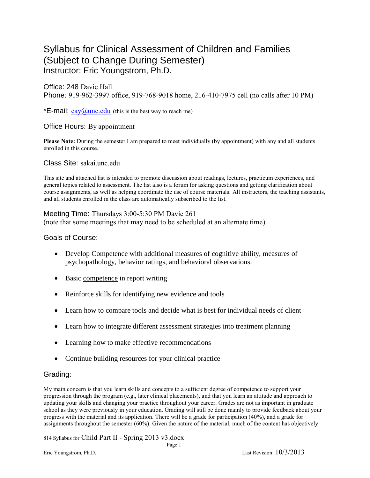# Syllabus for Clinical Assessment of Children and Families (Subject to Change During Semester) Instructor: Eric Youngstrom, Ph.D.

Office: 248 Davie Hall Phone: 919-962-3997 office, 919-768-9018 home, 216-410-7975 cell (no calls after 10 PM)

\***E-mail:**  $e$ ay $\omega$ unc.edu (this is the best way to reach me)

# Office Hours: By appointment

**Please Note:** During the semester I am prepared to meet individually (by appointment) with any and all students enrolled in this course.

Class Site: sakai.unc.edu

This site and attached list is intended to promote discussion about readings, lectures, practicum experiences, and general topics related to assessment. The list also is a forum for asking questions and getting clarification about course assignments, as well as helping coordinate the use of course materials. All instructors, the teaching assistants, and all students enrolled in the class are automatically subscribed to the list.

## Meeting Time: Thursdays 3:00-5:30 PM Davie 261

(note that some meetings that may need to be scheduled at an alternate time)

#### Goals of Course:

- Develop Competence with additional measures of cognitive ability, measures of psychopathology, behavior ratings, and behavioral observations.
- Basic competence in report writing
- Reinforce skills for identifying new evidence and tools
- Learn how to compare tools and decide what is best for individual needs of client
- Learn how to integrate different assessment strategies into treatment planning
- Learning how to make effective recommendations
- Continue building resources for your clinical practice

# Grading:

My main concern is that you learn skills and concepts to a sufficient degree of competence to support your progression through the program (e.g., later clinical placements), and that you learn an attitude and approach to updating your skills and changing your practice throughout your career. Grades are not as important in graduate school as they were previously in your education. Grading will still be done mainly to provide feedback about your progress with the material and its application. There will be a grade for participation (40%), and a grade for assignments throughout the semester (60%). Given the nature of the material, much of the content has objectively

Page 1

814 Syllabus for Child Part II - Spring 2013 v3.docx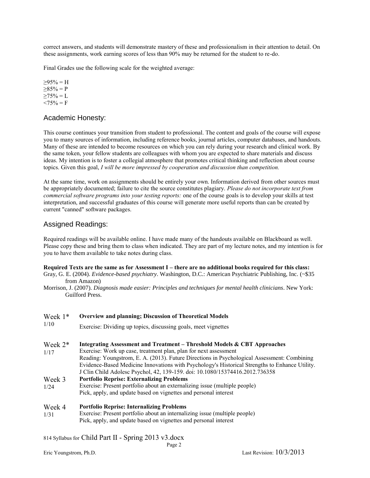correct answers, and students will demonstrate mastery of these and professionalism in their attention to detail. On these assignments, work earning scores of less than 90% may be returned for the student to re-do.

Final Grades use the following scale for the weighted average:

 $>95\% = H$  $\geq 85\% = P$  $\geq$ 75% = L  $< 75\% = F$ 

#### Academic Honesty:

This course continues your transition from student to professional. The content and goals of the course will expose you to many sources of information, including reference books, journal articles, computer databases, and handouts. Many of these are intended to become resources on which you can rely during your research and clinical work. By the same token, your fellow students are colleagues with whom you are expected to share materials and discuss ideas. My intention is to foster a collegial atmosphere that promotes critical thinking and reflection about course topics. Given this goal, *I will be more impressed by cooperation and discussion than competition.*

At the same time, work on assignments should be entirely your own. Information derived from other sources must be appropriately documented; failure to cite the source constitutes plagiary. *Please do not incorporate text from commercial software programs into your testing reports:* one of the course goals is to develop your skills at test interpretation, and successful graduates of this course will generate more useful reports than can be created by current "canned" software packages.

## Assigned Readings:

Required readings will be available online. I have made many of the handouts available on Blackboard as well. Please copy these and bring them to class when indicated. They are part of my lecture notes, and my intention is for you to have them available to take notes during class.

**Required Texts are the same as for Assessment I – there are no additional books required for this class:**  Gray, G. E. (2004). *Evidence-based psychiatry*. Washington, D.C.: American Psychiatric Publishing, Inc. (~\$35 from Amazon)

Morrison, J. (2007). *Diagnosis made easier: Principles and techniques for mental health clinicians*. New York: Guilford Press.

| Week $1*$<br>1/10 | <b>Overview and planning; Discussion of Theoretical Models</b><br>Exercise: Dividing up topics, discussing goals, meet vignettes |  |  |
|-------------------|----------------------------------------------------------------------------------------------------------------------------------|--|--|
| Week $2*$         | Integrating Assessment and Treatment – Threshold Models & CBT Approaches                                                         |  |  |
| 1/17              | Exercise: Work up case, treatment plan, plan for next assessment                                                                 |  |  |
|                   | Reading: Youngstrom, E. A. (2013). Future Directions in Psychological Assessment: Combining                                      |  |  |
|                   | Evidence-Based Medicine Innovations with Psychology's Historical Strengths to Enhance Utility.                                   |  |  |
|                   | J Clin Child Adolesc Psychol, 42, 139-159. doi: 10.1080/15374416.2012.736358                                                     |  |  |
| Week 3            | <b>Portfolio Reprise: Externalizing Problems</b>                                                                                 |  |  |
| 1/24              | Exercise: Present portfolio about an externalizing issue (multiple people)                                                       |  |  |
|                   | Pick, apply, and update based on vignettes and personal interest                                                                 |  |  |
| Week 4            | <b>Portfolio Reprise: Internalizing Problems</b>                                                                                 |  |  |
| 1/31              | Exercise: Present portfolio about an internalizing issue (multiple people)                                                       |  |  |
|                   | Pick, apply, and update based on vignettes and personal interest                                                                 |  |  |

#### 814 Syllabus for Child Part II - Spring 2013 v3.docx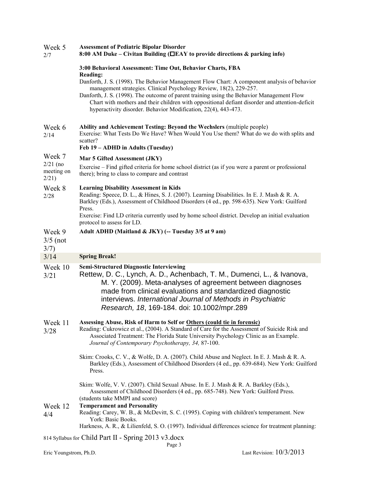| Week 5<br>2/7                                                  | <b>Assessment of Pediatric Bipolar Disorder</b><br>8:00 AM Duke – Civitan Building ( $\Box$ EAY to provide directions & parking info)                                                                                                                                                                                                                                                                                               |  |  |
|----------------------------------------------------------------|-------------------------------------------------------------------------------------------------------------------------------------------------------------------------------------------------------------------------------------------------------------------------------------------------------------------------------------------------------------------------------------------------------------------------------------|--|--|
|                                                                | 3:00 Behavioral Assessment: Time Out, Behavior Charts, FBA<br><b>Reading:</b>                                                                                                                                                                                                                                                                                                                                                       |  |  |
|                                                                | Danforth, J. S. (1998). The Behavior Management Flow Chart: A component analysis of behavior<br>management strategies. Clinical Psychology Review, 18(2), 229-257.<br>Danforth, J. S. (1998). The outcome of parent training using the Behavior Management Flow<br>Chart with mothers and their children with oppositional defiant disorder and attention-deficit<br>hyperactivity disorder. Behavior Modification, 22(4), 443-473. |  |  |
| Week 6<br>2/14                                                 | Ability and Achievement Testing: Beyond the Wechslers (multiple people)<br>Exercise: What Tests Do We Have? When Would You Use them? What do we do with splits and<br>scatter?<br>Feb 19 - ADHD in Adults (Tuesday)                                                                                                                                                                                                                 |  |  |
| Week 7<br>$2/21$ (no<br>meeting on<br>2/21                     | Mar 5 Gifted Assessment (JKY)                                                                                                                                                                                                                                                                                                                                                                                                       |  |  |
|                                                                | Exercise – Find gifted criteria for home school district (as if you were a parent or professional<br>there); bring to class to compare and contrast                                                                                                                                                                                                                                                                                 |  |  |
| Week 8<br>2/28                                                 | <b>Learning Disability Assessment in Kids</b><br>Reading: Speece, D. L., & Hines, S. J. (2007). Learning Disabilities. In E. J. Mash & R. A.<br>Barkley (Eds.), Assessment of Childhood Disorders (4 ed., pp. 598-635). New York: Guilford<br>Press.<br>Exercise: Find LD criteria currently used by home school district. Develop an initial evaluation<br>protocol to assess for LD.                                              |  |  |
| Week 9                                                         | Adult ADHD (Maitland & JKY) (-- Tuesday 3/5 at 9 am)                                                                                                                                                                                                                                                                                                                                                                                |  |  |
| $3/5$ (not<br>3/7)                                             |                                                                                                                                                                                                                                                                                                                                                                                                                                     |  |  |
| 3/14                                                           | <b>Spring Break!</b>                                                                                                                                                                                                                                                                                                                                                                                                                |  |  |
| Week 10<br>3/21                                                | <b>Semi-Structured Diagnostic Interviewing</b><br>Rettew, D. C., Lynch, A. D., Achenbach, T. M., Dumenci, L., & Ivanova,<br>M. Y. (2009). Meta-analyses of agreement between diagnoses<br>made from clinical evaluations and standardized diagnostic<br>interviews. International Journal of Methods in Psychiatric<br>Research, 18, 169-184. doi: 10.1002/mpr.289                                                                  |  |  |
| Week 11<br>3/28                                                | Assessing Abuse, Risk of Harm to Self or Others (could tie in forensic)<br>Reading: Cukrowicz et al., (2004). A Standard of Care for the Assessment of Suicide Risk and<br>Associated Treatment: The Florida State University Psychology Clinic as an Example.<br>Journal of Contemporary Psychotherapy, 34, 87-100.                                                                                                                |  |  |
|                                                                | Skim: Crooks, C. V., & Wolfe, D. A. (2007). Child Abuse and Neglect. In E. J. Mash & R. A.<br>Barkley (Eds.), Assessment of Childhood Disorders (4 ed., pp. 639-684). New York: Guilford<br>Press.                                                                                                                                                                                                                                  |  |  |
| Week 12                                                        | Skim: Wolfe, V. V. (2007). Child Sexual Abuse. In E. J. Mash & R. A. Barkley (Eds.),<br>Assessment of Childhood Disorders (4 ed., pp. 685-748). New York: Guilford Press.<br>(students take MMPI and score)<br><b>Temperament and Personality</b>                                                                                                                                                                                   |  |  |
| 4/4                                                            | Reading: Carey, W. B., & McDevitt, S. C. (1995). Coping with children's temperament. New<br>York: Basic Books.<br>Harkness, A. R., & Lilienfeld, S. O. (1997). Individual differences science for treatment planning:                                                                                                                                                                                                               |  |  |
| 814 Syllabus for Child Part II - Spring 2013 v3.docx<br>Page 3 |                                                                                                                                                                                                                                                                                                                                                                                                                                     |  |  |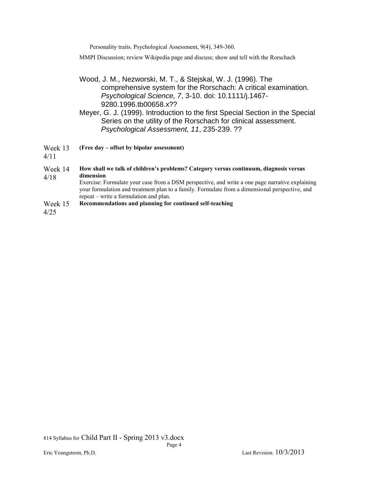Personality traits. Psychological Assessment, 9(4), 349-360.

MMPI Discussion; review Wikipedia page and discuss; show and tell with the Rorschach

# Wood, J. M., Nezworski, M. T., & Stejskal, W. J. (1996). The comprehensive system for the Rorschach: A critical examination. *Psychological Science, 7*, 3-10. doi: 10.1111/j.1467- 9280.1996.tb00658.x??

Meyer, G. J. (1999). Introduction to the first Special Section in the Special Series on the utility of the Rorschach for clinical assessment. *Psychological Assessment, 11*, 235-239. ??

Week 13 **(Free day – offset by bipolar assessment)**

4/11

Week 14 4/18 **How shall we talk of children's problems? Category versus continuum, diagnosis versus dimension** Exercise: Formulate your case from a DSM perspective, and write a one page narrative explaining your formulation and treatment plan to a family. Formulate from a dimensional perspective, and repeat – write a formulation and plan. Week 15 **Recommendations and planning for continued self-teaching**

4/25